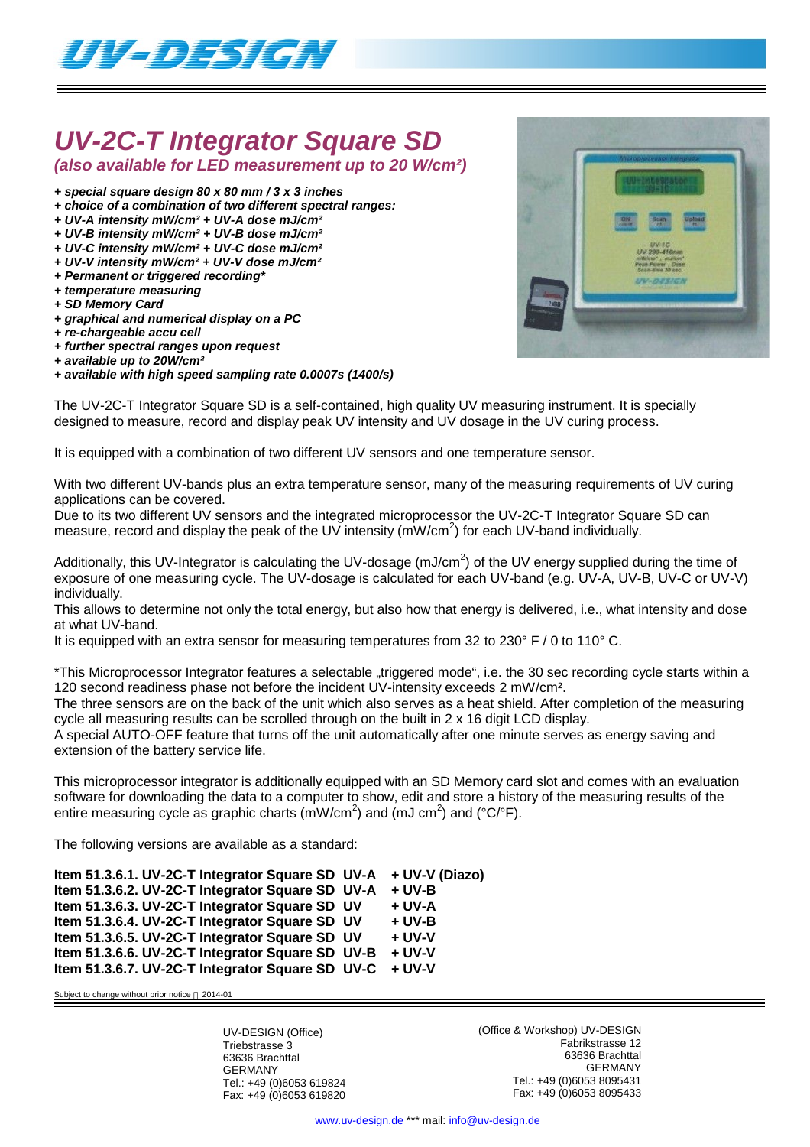

# *UV-2C-T Integrator Square SD*

*(also available for LED measurement up to 20 W/cm²)*

- *+ special square design 80 x 80 mm / 3 x 3 inches*
- *+ choice of a combination of two different spectral ranges:*
- *+ UV-A intensity mW/cm² + UV-A dose mJ/cm²*
- *+ UV-B intensity mW/cm² + UV-B dose mJ/cm² + UV-C intensity mW/cm² + UV-C dose mJ/cm²*
- *+ UV-V intensity mW/cm² + UV-V dose mJ/cm²*
- *+ Permanent or triggered recording\**
- *+ temperature measuring*
- *+ SD Memory Card*
- *+ graphical and numerical display on a PC*
- *+ re-chargeable accu cell*
- *+ further spectral ranges upon request*
- *+ available up to 20W/cm²*

*+ available with high speed sampling rate 0.0007s (1400/s)*



The UV-2C-T Integrator Square SD is a self-contained, high quality UV measuring instrument. It is specially designed to measure, record and display peak UV intensity and UV dosage in the UV curing process.

It is equipped with a combination of two different UV sensors and one temperature sensor.

With two different UV-bands plus an extra temperature sensor, many of the measuring requirements of UV curing applications can be covered.

Due to its two different UV sensors and the integrated microprocessor the UV-2C-T Integrator Square SD can measure, record and display the peak of the UV intensity ( $mW/cm<sup>2</sup>$ ) for each UV-band individually.

Additionally, this UV-Integrator is calculating the UV-dosage (mJ/cm<sup>2</sup>) of the UV energy supplied during the time of exposure of one measuring cycle. The UV-dosage is calculated for each UV-band (e.g. UV-A, UV-B, UV-C or UV-V) individually.

This allows to determine not only the total energy, but also how that energy is delivered, i.e., what intensity and dose at what UV-band.

It is equipped with an extra sensor for measuring temperatures from 32 to 230° F / 0 to 110° C.

\*This Microprocessor Integrator features a selectable "triggered mode", i.e. the 30 sec recording cycle starts within a 120 second readiness phase not before the incident UV-intensity exceeds 2 mW/cm².

The three sensors are on the back of the unit which also serves as a heat shield. After completion of the measuring cycle all measuring results can be scrolled through on the built in 2 x 16 digit LCD display.

A special AUTO-OFF feature that turns off the unit automatically after one minute serves as energy saving and extension of the battery service life.

This microprocessor integrator is additionally equipped with an SD Memory card slot and comes with an evaluation software for downloading the data to a computer to show, edit and store a history of the measuring results of the entire measuring cycle as graphic charts (mW/cm<sup>2</sup>) and (mJ cm<sup>2</sup>) and (°C/°F).

The following versions are available as a standard:

**Item 51.3.6.1. UV-2C-T Integrator Square SD UV-A + UV-V (Diazo) Item 51.3.6.2. UV-2C-T Integrator Square SD UV-A + UV-B Item 51.3.6.3. UV-2C-T Integrator Square SD UV + UV-A Item 51.3.6.4. UV-2C-T Integrator Square SD UV + UV-B Item 51.3.6.5. UV-2C-T Integrator Square SD UV + UV-V Item 51.3.6.6. UV-2C-T Integrator Square SD UV-B + UV-V Item 51.3.6.7. UV-2C-T Integrator Square SD UV-C + UV-V**

Subject to change without prior notice @ 2014-01

UV-DESIGN (Office) Triebstrasse 3 63636 Brachttal GERMANY Tel.: +49 (0)6053 619824 Fax: +49 (0)6053 619820 (Office & Workshop) UV-DESIGN Fabrikstrasse 12 63636 Brachttal GERMANY Tel.: +49 (0)6053 8095431 Fax: +49 (0)6053 8095433

www.uv-design.de \*\*\* mail: info@uv-design.de